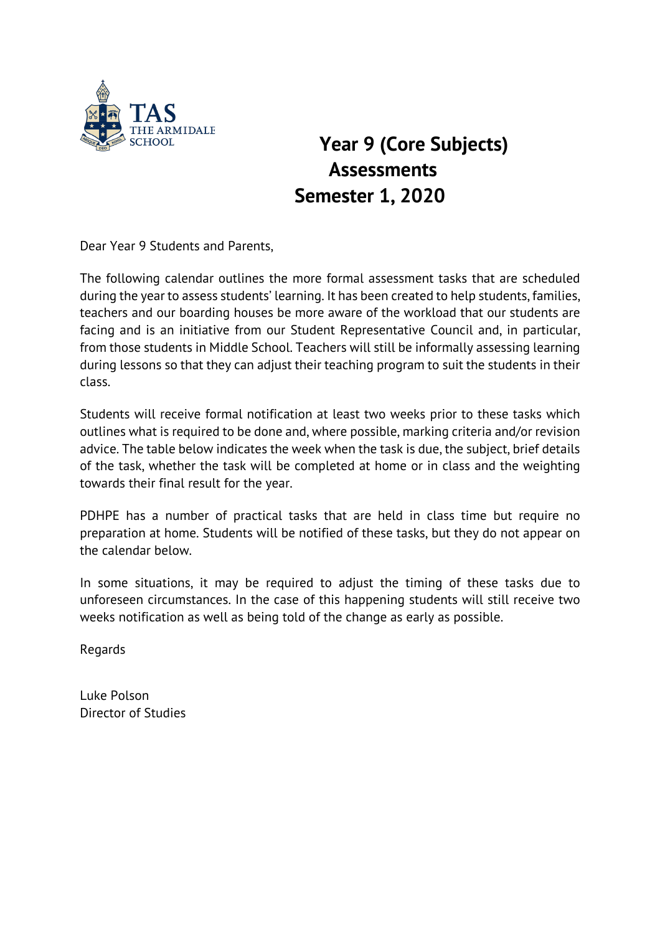

## **Year 9 (Core Subjects) Assessments Semester 1, 2020**

Dear Year 9 Students and Parents,

The following calendar outlines the more formal assessment tasks that are scheduled during the year to assess students' learning. It has been created to help students, families, teachers and our boarding houses be more aware of the workload that our students are facing and is an initiative from our Student Representative Council and, in particular, from those students in Middle School. Teachers will still be informally assessing learning during lessons so that they can adjust their teaching program to suit the students in their class.

Students will receive formal notification at least two weeks prior to these tasks which outlines what is required to be done and, where possible, marking criteria and/or revision advice. The table below indicates the week when the task is due, the subject, brief details of the task, whether the task will be completed at home or in class and the weighting towards their final result for the year.

PDHPE has a number of practical tasks that are held in class time but require no preparation at home. Students will be notified of these tasks, but they do not appear on the calendar below.

In some situations, it may be required to adjust the timing of these tasks due to unforeseen circumstances. In the case of this happening students will still receive two weeks notification as well as being told of the change as early as possible.

Regards

Luke Polson Director of Studies